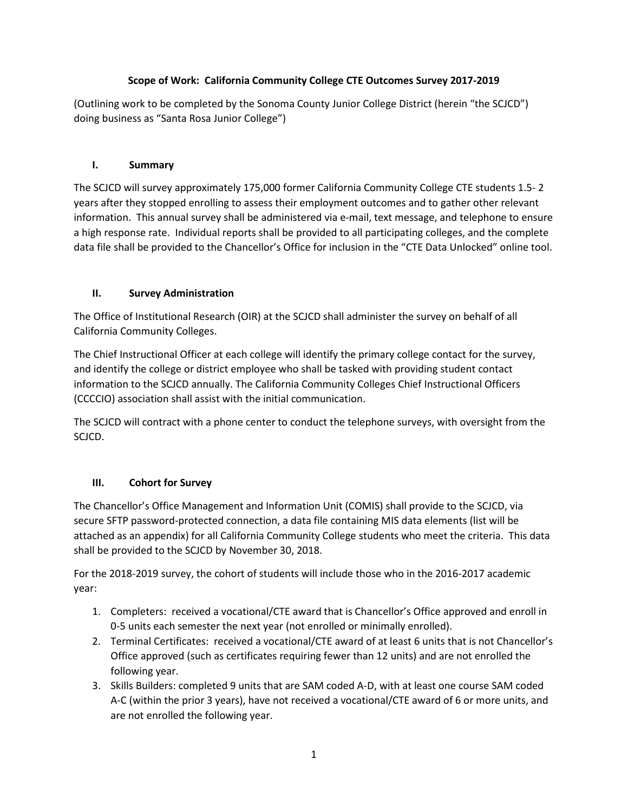# **Scope of Work: California Community College CTE Outcomes Survey 2017-2019**

(Outlining work to be completed by the Sonoma County Junior College District (herein "the SCJCD") doing business as "Santa Rosa Junior College")

#### **I. Summary**

The SCJCD will survey approximately 175,000 former California Community College CTE students 1.5- 2 years after they stopped enrolling to assess their employment outcomes and to gather other relevant information. This annual survey shall be administered via e-mail, text message, and telephone to ensure a high response rate. Individual reports shall be provided to all participating colleges, and the complete data file shall be provided to the Chancellor's Office for inclusion in the "CTE Data Unlocked" online tool.

# **II. Survey Administration**

The Office of Institutional Research (OIR) at the SCJCD shall administer the survey on behalf of all California Community Colleges.

The Chief Instructional Officer at each college will identify the primary college contact for the survey, and identify the college or district employee who shall be tasked with providing student contact information to the SCJCD annually. The California Community Colleges Chief Instructional Officers (CCCCIO) association shall assist with the initial communication.

The SCJCD will contract with a phone center to conduct the telephone surveys, with oversight from the SCJCD.

# **III. Cohort for Survey**

The Chancellor's Office Management and Information Unit (COMIS) shall provide to the SCJCD, via secure SFTP password-protected connection, a data file containing MIS data elements (list will be attached as an appendix) for all California Community College students who meet the criteria. This data shall be provided to the SCJCD by November 30, 2018.

For the 2018-2019 survey, the cohort of students will include those who in the 2016-2017 academic year:

- 1. Completers: received a vocational/CTE award that is Chancellor's Office approved and enroll in 0-5 units each semester the next year (not enrolled or minimally enrolled).
- 2. Terminal Certificates: received a vocational/CTE award of at least 6 units that is not Chancellor's Office approved (such as certificates requiring fewer than 12 units) and are not enrolled the following year.
- 3. Skills Builders: completed 9 units that are SAM coded A-D, with at least one course SAM coded A-C (within the prior 3 years), have not received a vocational/CTE award of 6 or more units, and are not enrolled the following year.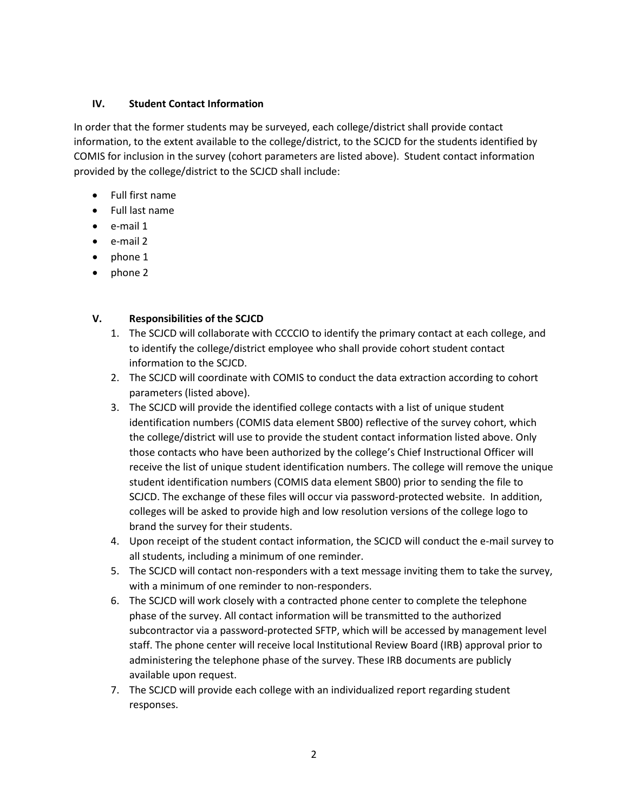## **IV. Student Contact Information**

In order that the former students may be surveyed, each college/district shall provide contact information, to the extent available to the college/district, to the SCJCD for the students identified by COMIS for inclusion in the survey (cohort parameters are listed above). Student contact information provided by the college/district to the SCJCD shall include:

- Full first name
- Full last name
- e-mail 1
- e-mail 2
- phone 1
- phone 2

#### **V. Responsibilities of the SCJCD**

- 1. The SCJCD will collaborate with CCCCIO to identify the primary contact at each college, and to identify the college/district employee who shall provide cohort student contact information to the SCJCD.
- 2. The SCJCD will coordinate with COMIS to conduct the data extraction according to cohort parameters (listed above).
- 3. The SCJCD will provide the identified college contacts with a list of unique student identification numbers (COMIS data element SB00) reflective of the survey cohort, which the college/district will use to provide the student contact information listed above. Only those contacts who have been authorized by the college's Chief Instructional Officer will receive the list of unique student identification numbers. The college will remove the unique student identification numbers (COMIS data element SB00) prior to sending the file to SCJCD. The exchange of these files will occur via password-protected website. In addition, colleges will be asked to provide high and low resolution versions of the college logo to brand the survey for their students.
- 4. Upon receipt of the student contact information, the SCJCD will conduct the e-mail survey to all students, including a minimum of one reminder.
- 5. The SCJCD will contact non-responders with a text message inviting them to take the survey, with a minimum of one reminder to non-responders.
- 6. The SCJCD will work closely with a contracted phone center to complete the telephone phase of the survey. All contact information will be transmitted to the authorized subcontractor via a password-protected SFTP, which will be accessed by management level staff. The phone center will receive local Institutional Review Board (IRB) approval prior to administering the telephone phase of the survey. These IRB documents are publicly available upon request.
- 7. The SCJCD will provide each college with an individualized report regarding student responses.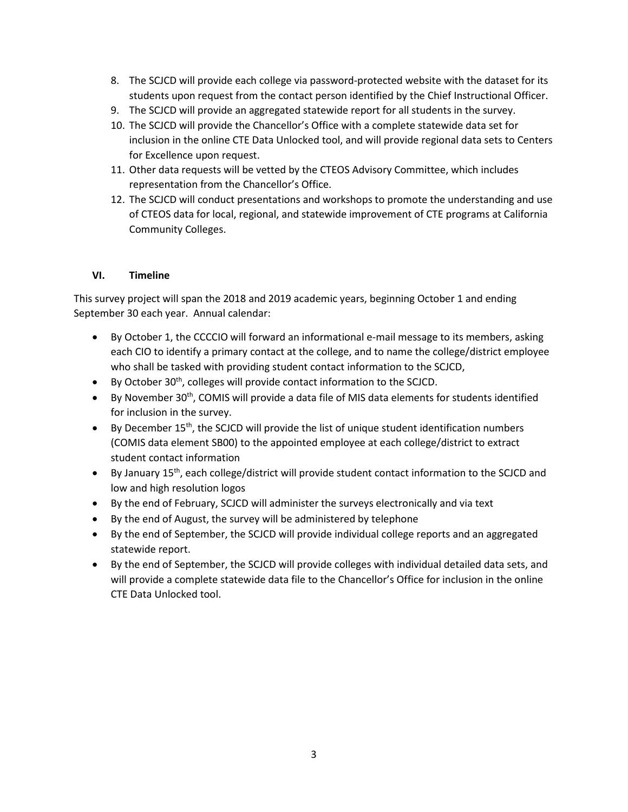- 8. The SCJCD will provide each college via password-protected website with the dataset for its students upon request from the contact person identified by the Chief Instructional Officer.
- 9. The SCJCD will provide an aggregated statewide report for all students in the survey.
- 10. The SCJCD will provide the Chancellor's Office with a complete statewide data set for inclusion in the online CTE Data Unlocked tool, and will provide regional data sets to Centers for Excellence upon request.
- 11. Other data requests will be vetted by the CTEOS Advisory Committee, which includes representation from the Chancellor's Office.
- 12. The SCJCD will conduct presentations and workshops to promote the understanding and use of CTEOS data for local, regional, and statewide improvement of CTE programs at California Community Colleges.

# **VI. Timeline**

This survey project will span the 2018 and 2019 academic years, beginning October 1 and ending September 30 each year. Annual calendar:

- By October 1, the CCCCIO will forward an informational e-mail message to its members, asking each CIO to identify a primary contact at the college, and to name the college/district employee who shall be tasked with providing student contact information to the SCJCD,
- By October 30<sup>th</sup>, colleges will provide contact information to the SCJCD.
- By November 30<sup>th</sup>, COMIS will provide a data file of MIS data elements for students identified for inclusion in the survey.
- By December  $15<sup>th</sup>$ , the SCJCD will provide the list of unique student identification numbers (COMIS data element SB00) to the appointed employee at each college/district to extract student contact information
- By January 15<sup>th</sup>, each college/district will provide student contact information to the SCJCD and low and high resolution logos
- By the end of February, SCJCD will administer the surveys electronically and via text
- By the end of August, the survey will be administered by telephone
- By the end of September, the SCJCD will provide individual college reports and an aggregated statewide report.
- By the end of September, the SCJCD will provide colleges with individual detailed data sets, and will provide a complete statewide data file to the Chancellor's Office for inclusion in the online CTE Data Unlocked tool.